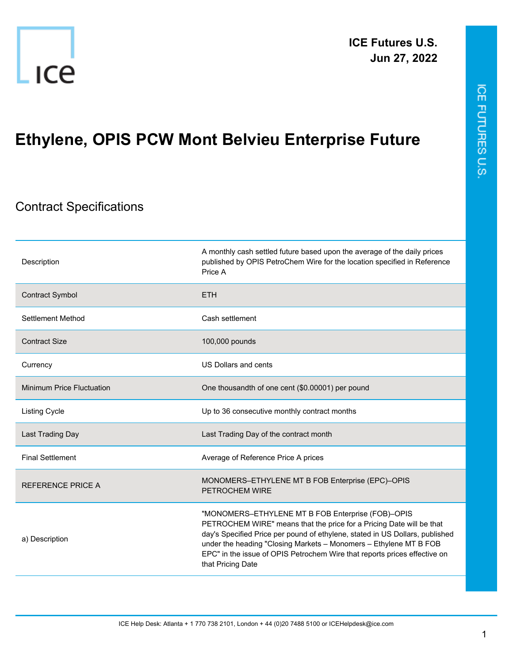

## **Ethylene, OPIS PCW Mont Belvieu Enterprise Future**

## Contract Specifications

| Description                      | A monthly cash settled future based upon the average of the daily prices<br>published by OPIS PetroChem Wire for the location specified in Reference<br>Price A                                                                                                                                                                                                                  |
|----------------------------------|----------------------------------------------------------------------------------------------------------------------------------------------------------------------------------------------------------------------------------------------------------------------------------------------------------------------------------------------------------------------------------|
| <b>Contract Symbol</b>           | <b>ETH</b>                                                                                                                                                                                                                                                                                                                                                                       |
| Settlement Method                | Cash settlement                                                                                                                                                                                                                                                                                                                                                                  |
| <b>Contract Size</b>             | 100,000 pounds                                                                                                                                                                                                                                                                                                                                                                   |
| Currency                         | US Dollars and cents                                                                                                                                                                                                                                                                                                                                                             |
| <b>Minimum Price Fluctuation</b> | One thousandth of one cent (\$0.00001) per pound                                                                                                                                                                                                                                                                                                                                 |
| <b>Listing Cycle</b>             | Up to 36 consecutive monthly contract months                                                                                                                                                                                                                                                                                                                                     |
| Last Trading Day                 | Last Trading Day of the contract month                                                                                                                                                                                                                                                                                                                                           |
| <b>Final Settlement</b>          | Average of Reference Price A prices                                                                                                                                                                                                                                                                                                                                              |
| <b>REFERENCE PRICE A</b>         | MONOMERS-ETHYLENE MT B FOB Enterprise (EPC)-OPIS<br>PETROCHEM WIRE                                                                                                                                                                                                                                                                                                               |
| a) Description                   | "MONOMERS-ETHYLENE MT B FOB Enterprise (FOB)-OPIS<br>PETROCHEM WIRE" means that the price for a Pricing Date will be that<br>day's Specified Price per pound of ethylene, stated in US Dollars, published<br>under the heading "Closing Markets - Monomers - Ethylene MT B FOB<br>EPC" in the issue of OPIS Petrochem Wire that reports prices effective on<br>that Pricing Date |

ICE FUTURES U.S.